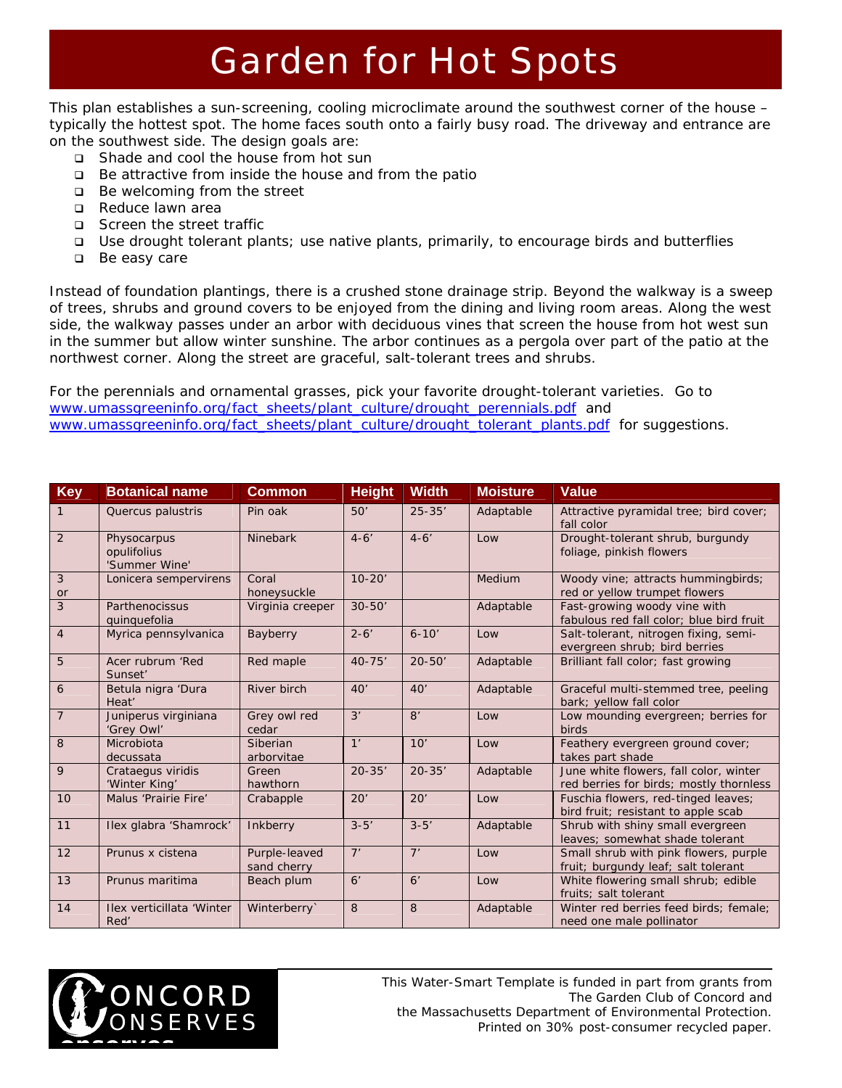## Garden for Hot Spots

This plan establishes a sun-screening, cooling microclimate around the southwest corner of the house – typically the hottest spot. The home faces south onto a fairly busy road. The driveway and entrance are on the southwest side. The design goals are:

- □ Shade and cool the house from hot sun
- $\Box$  Be attractive from inside the house and from the patio
- □ Be welcoming from the street
- Reduce lawn area
- Screen the street traffic
- Use drought tolerant plants; use native plants, primarily, to encourage birds and butterflies
- □ Be easy care

Instead of foundation plantings, there is a crushed stone drainage strip. Beyond the walkway is a sweep of trees, shrubs and ground covers to be enjoyed from the dining and living room areas. Along the west side, the walkway passes under an arbor with deciduous vines that screen the house from hot west sun in the summer but allow winter sunshine. The arbor continues as a pergola over part of the patio at the northwest corner. Along the street are graceful, salt-tolerant trees and shrubs.

For the perennials and ornamental grasses, pick your favorite drought-tolerant varieties. Go to [www.umassgreeninfo.org/fact\\_sheets/plant\\_culture/drought\\_perennials.pdf](http://www.umassgreeninfo.org/fact_sheets/plant_culture/drought_perennials.pdf) and [www.umassgreeninfo.org/fact\\_sheets/plant\\_culture/drought\\_tolerant\\_plants.pdf](http://www.umassgreeninfo.org/fact_sheets/plant_culture/drought_tolerant_plants.pdf) for suggestions.

| <b>Key</b>     | <b>Botanical name</b>                       | <b>Common</b>                | <b>Height</b> | <b>Width</b> | <b>Moisture</b> | <b>Value</b>                                                                      |
|----------------|---------------------------------------------|------------------------------|---------------|--------------|-----------------|-----------------------------------------------------------------------------------|
| $\mathbf{1}$   | Quercus palustris                           | Pin oak                      | 50'           | $25 - 35'$   | Adaptable       | Attractive pyramidal tree; bird cover;<br>fall color                              |
| 2              | Physocarpus<br>opulifolius<br>'Summer Wine' | Ninebark                     | $4 - 6'$      | $4 - 6'$     | Low             | Drought-tolerant shrub, burgundy<br>foliage, pinkish flowers                      |
| 3<br>or        | Lonicera sempervirens                       | Coral<br>honeysuckle         | $10 - 20'$    |              | Medium          | Woody vine; attracts hummingbirds;<br>red or yellow trumpet flowers               |
| 3              | Parthenocissus<br>quinquefolia              | Virginia creeper             | $30 - 50'$    |              | Adaptable       | Fast-growing woody vine with<br>fabulous red fall color; blue bird fruit          |
| $\overline{4}$ | Myrica pennsylvanica                        | Bayberry                     | $2 - 6'$      | $6 - 10'$    | Low             | Salt-tolerant, nitrogen fixing, semi-<br>evergreen shrub; bird berries            |
| 5              | Acer rubrum 'Red<br>Sunset'                 | Red maple                    | $40 - 75'$    | $20 - 50'$   | Adaptable       | Brilliant fall color; fast growing                                                |
| 6              | Betula nigra 'Dura<br>Heat'                 | River birch                  | 40'           | 40'          | Adaptable       | Graceful multi-stemmed tree, peeling<br>bark; yellow fall color                   |
| $\overline{7}$ | Juniperus virginiana<br>'Grey Owl'          | Grey owl red<br>cedar        | 3'            | 8'           | Low             | Low mounding evergreen; berries for<br>birds                                      |
| 8              | Microbiota<br>decussata                     | Siberian<br>arborvitae       | 1'            | 10'          | Low             | Feathery evergreen ground cover;<br>takes part shade                              |
| 9              | Crataegus viridis<br>'Winter King'          | Green<br>hawthorn            | $20 - 35'$    | $20 - 35'$   | Adaptable       | June white flowers, fall color, winter<br>red berries for birds; mostly thornless |
| 10             | Malus 'Prairie Fire'                        | Crabapple                    | 20'           | 20'          | Low             | Fuschia flowers, red-tinged leaves;<br>bird fruit; resistant to apple scab        |
| 11             | Ilex glabra 'Shamrock'                      | Inkberry                     | $3 - 5'$      | $3 - 5'$     | Adaptable       | Shrub with shiny small evergreen<br>leaves; somewhat shade tolerant               |
| 12             | Prunus x cistena                            | Purple-leaved<br>sand cherry | 7'            | 7'           | Low             | Small shrub with pink flowers, purple<br>fruit; burgundy leaf; salt tolerant      |
| 13             | Prunus maritima                             | Beach plum                   | 6'            | 6'           | Low             | White flowering small shrub; edible<br>fruits: salt tolerant                      |
| 14             | Ilex verticillata 'Winter<br>Red'           | Winterberry`                 | 8             | 8            | Adaptable       | Winter red berries feed birds; female;<br>need one male pollinator                |



*This Water-Smart Template is funded in part from grants from The Garden Club of Concord and the Massachusetts Department of Environmental Protection. Printed on 30% post-consumer recycled paper.*